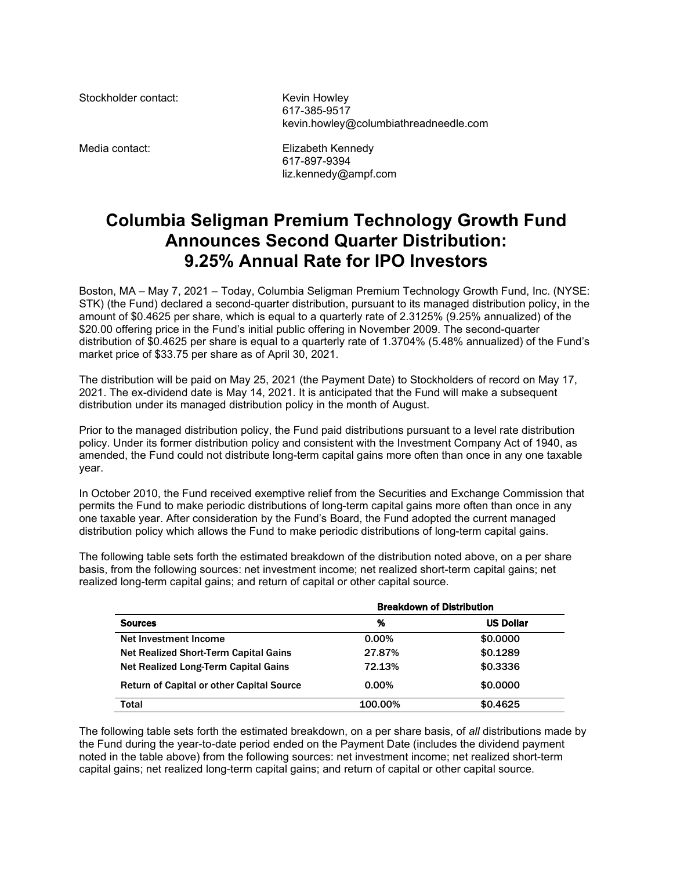Stockholder contact: Kevin Howley

617-385-9517 kevin.howley@columbiathreadneedle.com

Media contact: Elizabeth Kennedy 617-897-9394 liz.kennedy@ampf.com

## **Columbia Seligman Premium Technology Growth Fund Announces Second Quarter Distribution: 9.25% Annual Rate for IPO Investors**

Boston, MA – May 7, 2021 – Today, Columbia Seligman Premium Technology Growth Fund, Inc. (NYSE: STK) (the Fund) declared a second-quarter distribution, pursuant to its managed distribution policy, in the amount of \$0.4625 per share, which is equal to a quarterly rate of 2.3125% (9.25% annualized) of the \$20.00 offering price in the Fund's initial public offering in November 2009. The second-quarter distribution of \$0.4625 per share is equal to a quarterly rate of 1.3704% (5.48% annualized) of the Fund's market price of \$33.75 per share as of April 30, 2021.

The distribution will be paid on May 25, 2021 (the Payment Date) to Stockholders of record on May 17, 2021. The ex-dividend date is May 14, 2021. It is anticipated that the Fund will make a subsequent distribution under its managed distribution policy in the month of August.

Prior to the managed distribution policy, the Fund paid distributions pursuant to a level rate distribution policy. Under its former distribution policy and consistent with the Investment Company Act of 1940, as amended, the Fund could not distribute long-term capital gains more often than once in any one taxable year.

In October 2010, the Fund received exemptive relief from the Securities and Exchange Commission that permits the Fund to make periodic distributions of long-term capital gains more often than once in any one taxable year. After consideration by the Fund's Board, the Fund adopted the current managed distribution policy which allows the Fund to make periodic distributions of long-term capital gains.

The following table sets forth the estimated breakdown of the distribution noted above, on a per share basis, from the following sources: net investment income; net realized short-term capital gains; net realized long-term capital gains; and return of capital or other capital source.

|                                                  | <b>Breakdown of Distribution</b> |                  |
|--------------------------------------------------|----------------------------------|------------------|
| <b>Sources</b>                                   | %                                | <b>US Dollar</b> |
| Net Investment Income                            | $0.00\%$                         | \$0,0000         |
| Net Realized Short-Term Capital Gains            | 27.87%                           | \$0.1289         |
| Net Realized Long-Term Capital Gains             | 72.13%                           | \$0,3336         |
| <b>Return of Capital or other Capital Source</b> | $0.00\%$                         | \$0,0000         |
| Total                                            | 100.00%                          | \$0.4625         |

The following table sets forth the estimated breakdown, on a per share basis, of *all* distributions made by the Fund during the year-to-date period ended on the Payment Date (includes the dividend payment noted in the table above) from the following sources: net investment income; net realized short-term capital gains; net realized long-term capital gains; and return of capital or other capital source.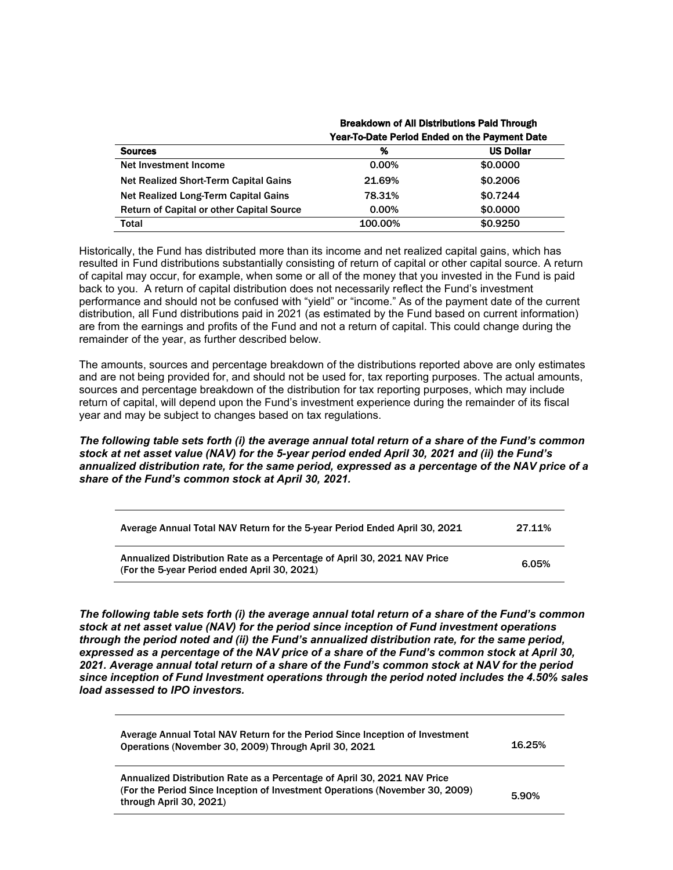|                                                  | Year-To-Date Period Ended on the Payment Date |                  |  |
|--------------------------------------------------|-----------------------------------------------|------------------|--|
| <b>Sources</b>                                   | %                                             | <b>US Dollar</b> |  |
| Net Investment Income                            | $0.00\%$                                      | \$0.0000         |  |
| Net Realized Short-Term Capital Gains            | 21.69%                                        | \$0.2006         |  |
| Net Realized Long-Term Capital Gains             | 78.31%                                        | \$0.7244         |  |
| <b>Return of Capital or other Capital Source</b> | 0.00%                                         | \$0,0000         |  |
| Total                                            | 100.00%                                       | \$0.9250         |  |

Breakdown of All Distributions Paid Through

Historically, the Fund has distributed more than its income and net realized capital gains, which has resulted in Fund distributions substantially consisting of return of capital or other capital source. A return of capital may occur, for example, when some or all of the money that you invested in the Fund is paid back to you. A return of capital distribution does not necessarily reflect the Fund's investment performance and should not be confused with "yield" or "income." As of the payment date of the current distribution, all Fund distributions paid in 2021 (as estimated by the Fund based on current information) are from the earnings and profits of the Fund and not a return of capital. This could change during the remainder of the year, as further described below.

The amounts, sources and percentage breakdown of the distributions reported above are only estimates and are not being provided for, and should not be used for, tax reporting purposes. The actual amounts, sources and percentage breakdown of the distribution for tax reporting purposes, which may include return of capital, will depend upon the Fund's investment experience during the remainder of its fiscal year and may be subject to changes based on tax regulations.

*The following table sets forth (i) the average annual total return of a share of the Fund's common stock at net asset value (NAV) for the 5-year period ended April 30, 2021 and (ii) the Fund's annualized distribution rate, for the same period, expressed as a percentage of the NAV price of a share of the Fund's common stock at April 30, 2021.* 

| Average Annual Total NAV Return for the 5-year Period Ended April 30, 2021                                               | 27.11% |
|--------------------------------------------------------------------------------------------------------------------------|--------|
| Annualized Distribution Rate as a Percentage of April 30, 2021 NAV Price<br>(For the 5-year Period ended April 30, 2021) | 6.05%  |

*The following table sets forth (i) the average annual total return of a share of the Fund's common stock at net asset value (NAV) for the period since inception of Fund investment operations through the period noted and (ii) the Fund's annualized distribution rate, for the same period, expressed as a percentage of the NAV price of a share of the Fund's common stock at April 30, 2021. Average annual total return of a share of the Fund's common stock at NAV for the period since inception of Fund Investment operations through the period noted includes the 4.50% sales load assessed to IPO investors.*

| Average Annual Total NAV Return for the Period Since Inception of Investment<br>Operations (November 30, 2009) Through April 30, 2021                                               | 16.25% |
|-------------------------------------------------------------------------------------------------------------------------------------------------------------------------------------|--------|
| Annualized Distribution Rate as a Percentage of April 30, 2021 NAV Price<br>(For the Period Since Inception of Investment Operations (November 30, 2009)<br>through April 30, 2021) | 5.90%  |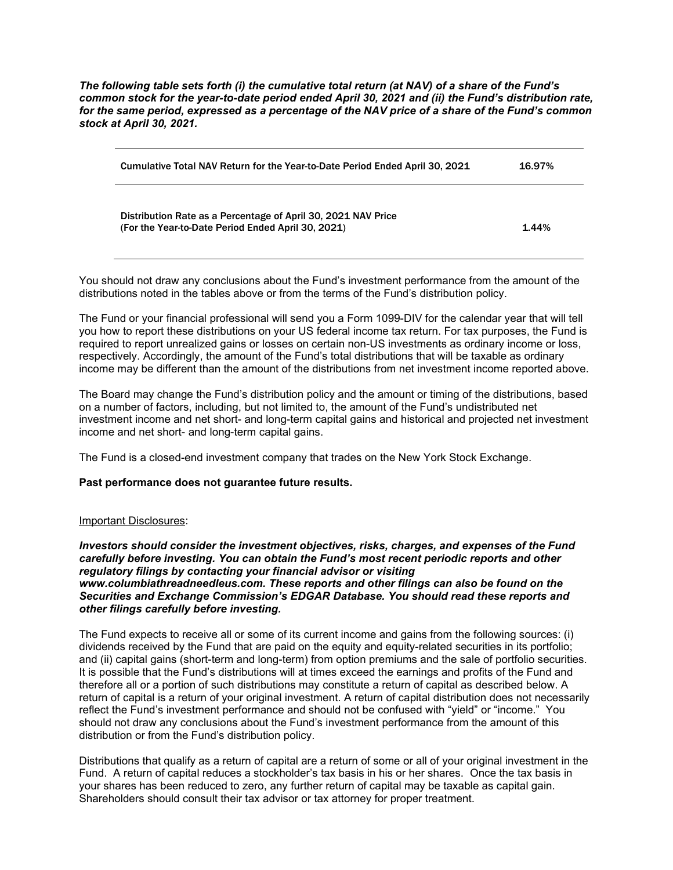*The following table sets forth (i) the cumulative total return (at NAV) of a share of the Fund's common stock for the year-to-date period ended April 30, 2021 and (ii) the Fund's distribution rate, for the same period, expressed as a percentage of the NAV price of a share of the Fund's common stock at April 30, 2021.*

| Cumulative Total NAV Return for the Year-to-Date Period Ended April 30, 2021                                        | 16.97% |
|---------------------------------------------------------------------------------------------------------------------|--------|
| Distribution Rate as a Percentage of April 30, 2021 NAV Price<br>(For the Year-to-Date Period Ended April 30, 2021) | 1.44%  |

You should not draw any conclusions about the Fund's investment performance from the amount of the distributions noted in the tables above or from the terms of the Fund's distribution policy.

The Fund or your financial professional will send you a Form 1099-DIV for the calendar year that will tell you how to report these distributions on your US federal income tax return. For tax purposes, the Fund is required to report unrealized gains or losses on certain non-US investments as ordinary income or loss, respectively. Accordingly, the amount of the Fund's total distributions that will be taxable as ordinary income may be different than the amount of the distributions from net investment income reported above.

The Board may change the Fund's distribution policy and the amount or timing of the distributions, based on a number of factors, including, but not limited to, the amount of the Fund's undistributed net investment income and net short- and long-term capital gains and historical and projected net investment income and net short- and long-term capital gains.

The Fund is a closed-end investment company that trades on the New York Stock Exchange.

## **Past performance does not guarantee future results.**

## Important Disclosures:

*Investors should consider the investment objectives, risks, charges, and expenses of the Fund carefully before investing. You can obtain the Fund's most recent periodic reports and other regulatory filings by contacting your financial advisor or visiting www.columbiathreadneedleus.com. These reports and other filings can also be found on the Securities and Exchange Commission's EDGAR Database. You should read these reports and other filings carefully before investing.*

The Fund expects to receive all or some of its current income and gains from the following sources: (i) dividends received by the Fund that are paid on the equity and equity-related securities in its portfolio; and (ii) capital gains (short-term and long-term) from option premiums and the sale of portfolio securities. It is possible that the Fund's distributions will at times exceed the earnings and profits of the Fund and therefore all or a portion of such distributions may constitute a return of capital as described below. A return of capital is a return of your original investment. A return of capital distribution does not necessarily reflect the Fund's investment performance and should not be confused with "yield" or "income." You should not draw any conclusions about the Fund's investment performance from the amount of this distribution or from the Fund's distribution policy.

Distributions that qualify as a return of capital are a return of some or all of your original investment in the Fund. A return of capital reduces a stockholder's tax basis in his or her shares. Once the tax basis in your shares has been reduced to zero, any further return of capital may be taxable as capital gain. Shareholders should consult their tax advisor or tax attorney for proper treatment.